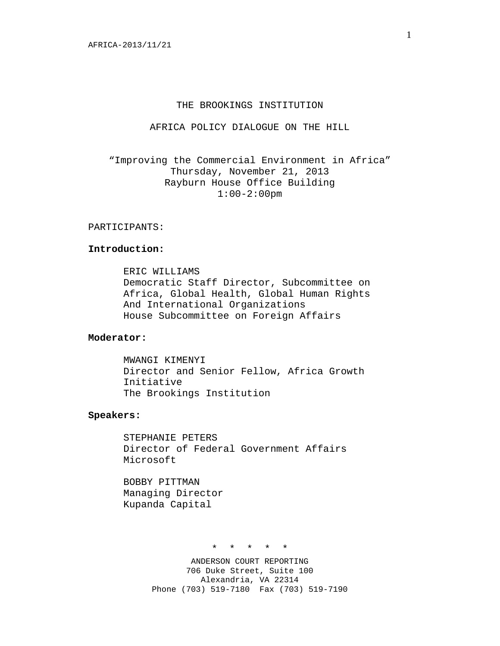## THE BROOKINGS INSTITUTION

AFRICA POLICY DIALOGUE ON THE HILL

"Improving the Commercial Environment in Africa" Thursday, November 21, 2013 Rayburn House Office Building 1:00-2:00pm

## PARTICIPANTS:

## **Introduction:**

ERIC WILLIAMS Democratic Staff Director, Subcommittee on Africa, Global Health, Global Human Rights And International Organizations House Subcommittee on Foreign Affairs

## **Moderator:**

MWANGI KIMENYI Director and Senior Fellow, Africa Growth Initiative The Brookings Institution

### **Speakers:**

STEPHANIE PETERS Director of Federal Government Affairs Microsoft

BOBBY PITTMAN Managing Director Kupanda Capital

\* \* \* \* \*

ANDERSON COURT REPORTING 706 Duke Street, Suite 100 Alexandria, VA 22314 Phone (703) 519-7180 Fax (703) 519-7190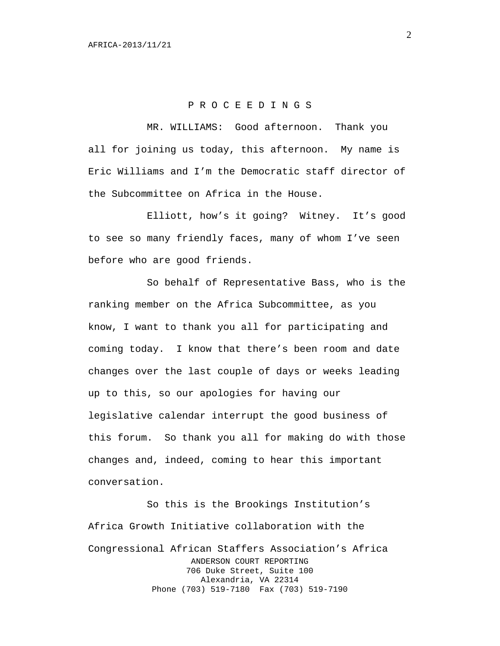## P R O C E E D I N G S

MR. WILLIAMS: Good afternoon. Thank you all for joining us today, this afternoon. My name is Eric Williams and I'm the Democratic staff director of the Subcommittee on Africa in the House.

Elliott, how's it going? Witney. It's good to see so many friendly faces, many of whom I've seen before who are good friends.

So behalf of Representative Bass, who is the ranking member on the Africa Subcommittee, as you know, I want to thank you all for participating and coming today. I know that there's been room and date changes over the last couple of days or weeks leading up to this, so our apologies for having our legislative calendar interrupt the good business of this forum. So thank you all for making do with those changes and, indeed, coming to hear this important conversation.

So this is the Brookings Institution's Africa Growth Initiative collaboration with the Congressional African Staffers Association's Africa ANDERSON COURT REPORTING 706 Duke Street, Suite 100 Alexandria, VA 22314 Phone (703) 519-7180 Fax (703) 519-7190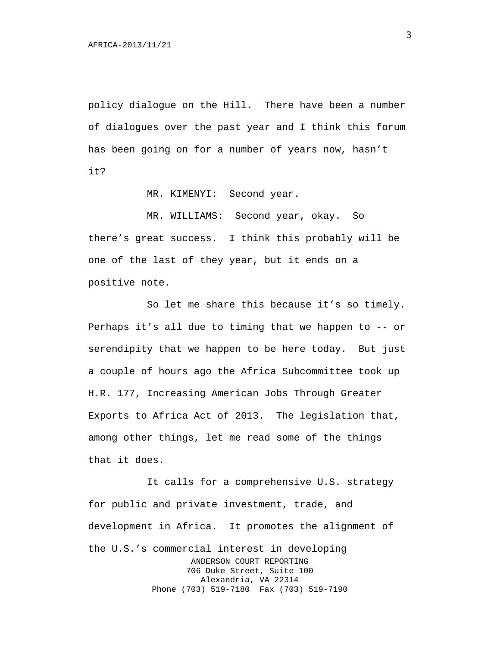policy dialogue on the Hill. There have been a number of dialogues over the past year and I think this forum has been going on for a number of years now, hasn't it?

MR. KIMENYI: Second year.

MR. WILLIAMS: Second year, okay. So

there's great success. I think this probably will be one of the last of they year, but it ends on a positive note.

So let me share this because it's so timely. Perhaps it's all due to timing that we happen to -- or serendipity that we happen to be here today. But just a couple of hours ago the Africa Subcommittee took up H.R. 177, Increasing American Jobs Through Greater Exports to Africa Act of 2013. The legislation that, among other things, let me read some of the things that it does.

It calls for a comprehensive U.S. strategy for public and private investment, trade, and development in Africa. It promotes the alignment of the U.S.'s commercial interest in developing ANDERSON COURT REPORTING 706 Duke Street, Suite 100 Alexandria, VA 22314 Phone (703) 519-7180 Fax (703) 519-7190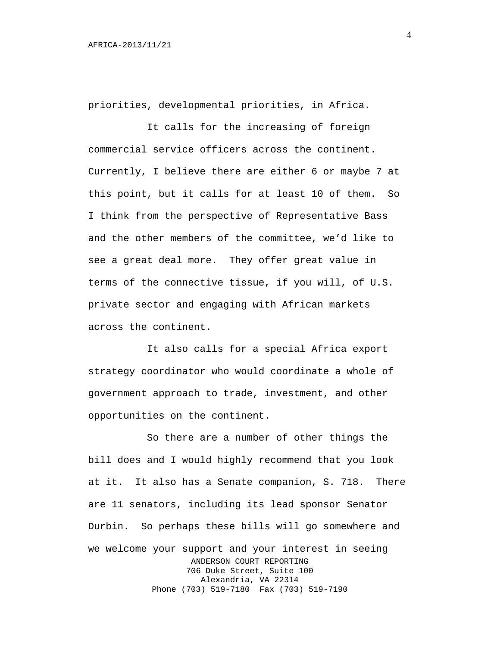priorities, developmental priorities, in Africa.

It calls for the increasing of foreign commercial service officers across the continent. Currently, I believe there are either 6 or maybe 7 at this point, but it calls for at least 10 of them. So I think from the perspective of Representative Bass and the other members of the committee, we'd like to see a great deal more. They offer great value in terms of the connective tissue, if you will, of U.S. private sector and engaging with African markets across the continent.

It also calls for a special Africa export strategy coordinator who would coordinate a whole of government approach to trade, investment, and other opportunities on the continent.

So there are a number of other things the bill does and I would highly recommend that you look at it. It also has a Senate companion, S. 718. There are 11 senators, including its lead sponsor Senator Durbin. So perhaps these bills will go somewhere and we welcome your support and your interest in seeing ANDERSON COURT REPORTING 706 Duke Street, Suite 100 Alexandria, VA 22314 Phone (703) 519-7180 Fax (703) 519-7190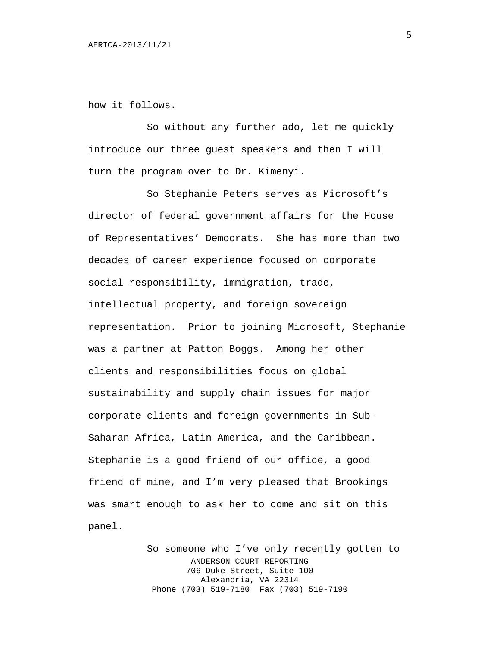how it follows.

So without any further ado, let me quickly introduce our three guest speakers and then I will turn the program over to Dr. Kimenyi.

So Stephanie Peters serves as Microsoft's director of federal government affairs for the House of Representatives' Democrats. She has more than two decades of career experience focused on corporate social responsibility, immigration, trade, intellectual property, and foreign sovereign representation. Prior to joining Microsoft, Stephanie was a partner at Patton Boggs. Among her other clients and responsibilities focus on global sustainability and supply chain issues for major corporate clients and foreign governments in Sub-Saharan Africa, Latin America, and the Caribbean. Stephanie is a good friend of our office, a good friend of mine, and I'm very pleased that Brookings was smart enough to ask her to come and sit on this panel.

> So someone who I've only recently gotten to ANDERSON COURT REPORTING 706 Duke Street, Suite 100 Alexandria, VA 22314 Phone (703) 519-7180 Fax (703) 519-7190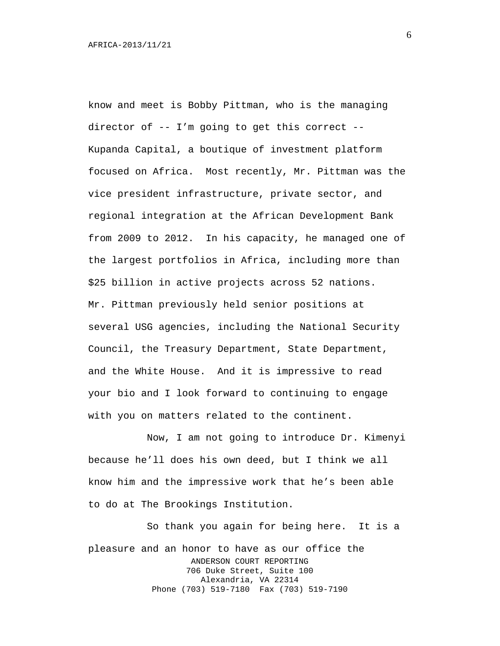know and meet is Bobby Pittman, who is the managing director of -- I'm going to get this correct -- Kupanda Capital, a boutique of investment platform focused on Africa. Most recently, Mr. Pittman was the vice president infrastructure, private sector, and regional integration at the African Development Bank from 2009 to 2012. In his capacity, he managed one of the largest portfolios in Africa, including more than \$25 billion in active projects across 52 nations. Mr. Pittman previously held senior positions at several USG agencies, including the National Security Council, the Treasury Department, State Department, and the White House. And it is impressive to read your bio and I look forward to continuing to engage with you on matters related to the continent.

Now, I am not going to introduce Dr. Kimenyi because he'll does his own deed, but I think we all know him and the impressive work that he's been able to do at The Brookings Institution.

So thank you again for being here. It is a pleasure and an honor to have as our office the ANDERSON COURT REPORTING 706 Duke Street, Suite 100 Alexandria, VA 22314 Phone (703) 519-7180 Fax (703) 519-7190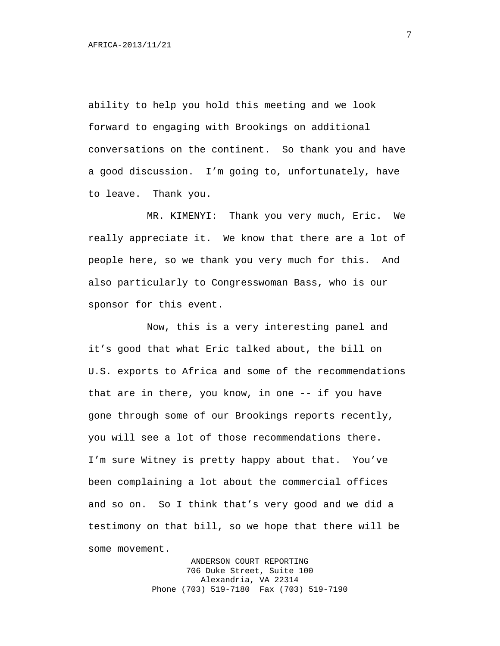ability to help you hold this meeting and we look forward to engaging with Brookings on additional conversations on the continent. So thank you and have a good discussion. I'm going to, unfortunately, have to leave. Thank you.

MR. KIMENYI: Thank you very much, Eric. We really appreciate it. We know that there are a lot of people here, so we thank you very much for this. And also particularly to Congresswoman Bass, who is our sponsor for this event.

Now, this is a very interesting panel and it's good that what Eric talked about, the bill on U.S. exports to Africa and some of the recommendations that are in there, you know, in one -- if you have gone through some of our Brookings reports recently, you will see a lot of those recommendations there. I'm sure Witney is pretty happy about that. You've been complaining a lot about the commercial offices and so on. So I think that's very good and we did a testimony on that bill, so we hope that there will be some movement.

> ANDERSON COURT REPORTING 706 Duke Street, Suite 100 Alexandria, VA 22314 Phone (703) 519-7180 Fax (703) 519-7190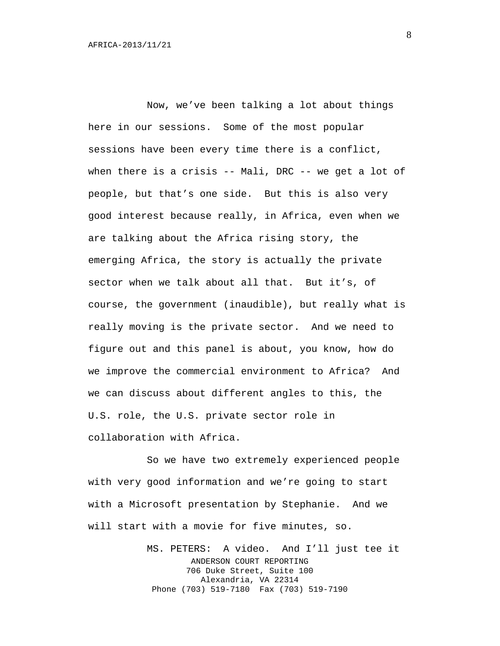Now, we've been talking a lot about things here in our sessions. Some of the most popular sessions have been every time there is a conflict, when there is a crisis -- Mali, DRC -- we get a lot of people, but that's one side. But this is also very good interest because really, in Africa, even when we are talking about the Africa rising story, the emerging Africa, the story is actually the private sector when we talk about all that. But it's, of course, the government (inaudible), but really what is really moving is the private sector. And we need to figure out and this panel is about, you know, how do we improve the commercial environment to Africa? And we can discuss about different angles to this, the U.S. role, the U.S. private sector role in collaboration with Africa.

So we have two extremely experienced people with very good information and we're going to start with a Microsoft presentation by Stephanie. And we will start with a movie for five minutes, so.

> MS. PETERS: A video. And I'll just tee it ANDERSON COURT REPORTING 706 Duke Street, Suite 100 Alexandria, VA 22314 Phone (703) 519-7180 Fax (703) 519-7190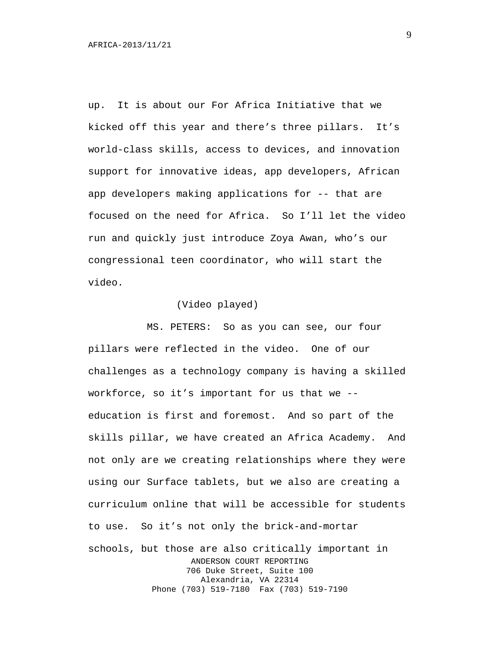up. It is about our For Africa Initiative that we kicked off this year and there's three pillars. It's world-class skills, access to devices, and innovation support for innovative ideas, app developers, African app developers making applications for -- that are focused on the need for Africa. So I'll let the video run and quickly just introduce Zoya Awan, who's our congressional teen coordinator, who will start the video.

# (Video played)

MS. PETERS: So as you can see, our four pillars were reflected in the video. One of our challenges as a technology company is having a skilled workforce, so it's important for us that we - education is first and foremost. And so part of the skills pillar, we have created an Africa Academy. And not only are we creating relationships where they were using our Surface tablets, but we also are creating a curriculum online that will be accessible for students to use. So it's not only the brick-and-mortar schools, but those are also critically important in ANDERSON COURT REPORTING 706 Duke Street, Suite 100 Alexandria, VA 22314 Phone (703) 519-7180 Fax (703) 519-7190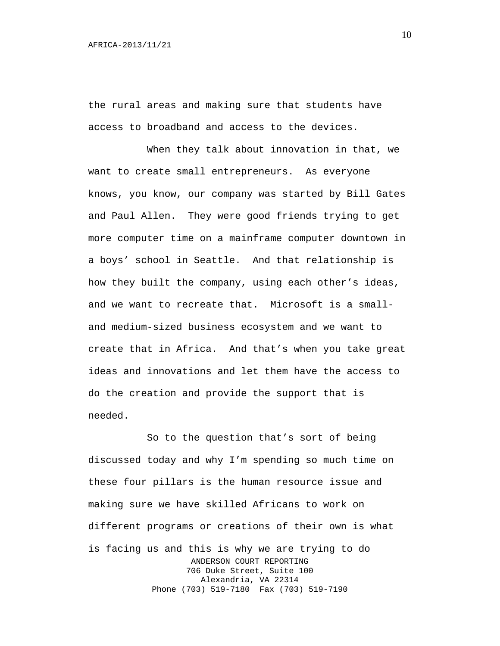the rural areas and making sure that students have access to broadband and access to the devices.

When they talk about innovation in that, we want to create small entrepreneurs. As everyone knows, you know, our company was started by Bill Gates and Paul Allen. They were good friends trying to get more computer time on a mainframe computer downtown in a boys' school in Seattle. And that relationship is how they built the company, using each other's ideas, and we want to recreate that. Microsoft is a smalland medium-sized business ecosystem and we want to create that in Africa. And that's when you take great ideas and innovations and let them have the access to do the creation and provide the support that is needed.

So to the question that's sort of being discussed today and why I'm spending so much time on these four pillars is the human resource issue and making sure we have skilled Africans to work on different programs or creations of their own is what is facing us and this is why we are trying to do ANDERSON COURT REPORTING 706 Duke Street, Suite 100 Alexandria, VA 22314 Phone (703) 519-7180 Fax (703) 519-7190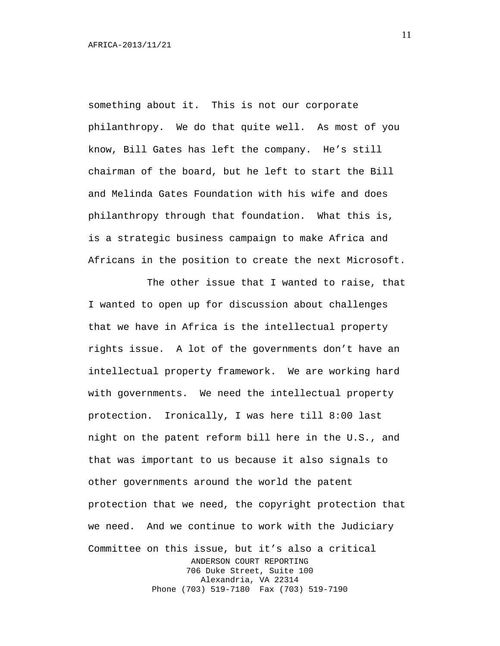something about it. This is not our corporate philanthropy. We do that quite well. As most of you know, Bill Gates has left the company. He's still chairman of the board, but he left to start the Bill and Melinda Gates Foundation with his wife and does philanthropy through that foundation. What this is, is a strategic business campaign to make Africa and Africans in the position to create the next Microsoft.

The other issue that I wanted to raise, that I wanted to open up for discussion about challenges that we have in Africa is the intellectual property rights issue. A lot of the governments don't have an intellectual property framework. We are working hard with governments. We need the intellectual property protection. Ironically, I was here till 8:00 last night on the patent reform bill here in the U.S., and that was important to us because it also signals to other governments around the world the patent protection that we need, the copyright protection that we need. And we continue to work with the Judiciary Committee on this issue, but it's also a critical ANDERSON COURT REPORTING 706 Duke Street, Suite 100 Alexandria, VA 22314 Phone (703) 519-7180 Fax (703) 519-7190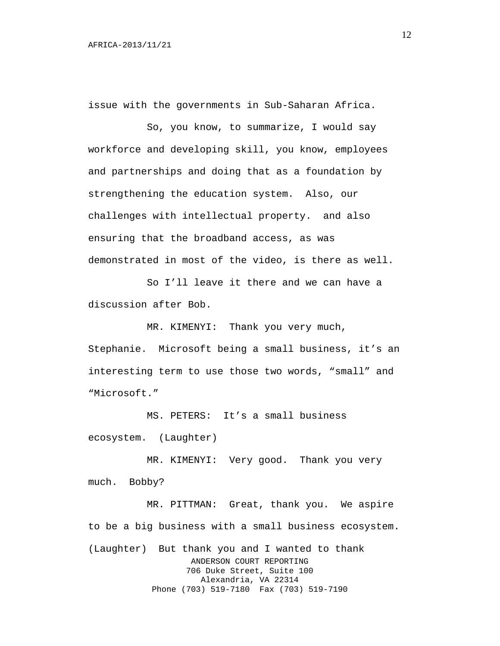issue with the governments in Sub-Saharan Africa.

So, you know, to summarize, I would say workforce and developing skill, you know, employees and partnerships and doing that as a foundation by strengthening the education system. Also, our challenges with intellectual property. and also ensuring that the broadband access, as was demonstrated in most of the video, is there as well.

So I'll leave it there and we can have a discussion after Bob.

MR. KIMENYI: Thank you very much,

Stephanie. Microsoft being a small business, it's an interesting term to use those two words, "small" and "Microsoft."

MS. PETERS: It's a small business ecosystem. (Laughter)

MR. KIMENYI: Very good. Thank you very much. Bobby?

MR. PITTMAN: Great, thank you. We aspire to be a big business with a small business ecosystem. (Laughter) But thank you and I wanted to thank ANDERSON COURT REPORTING 706 Duke Street, Suite 100 Alexandria, VA 22314 Phone (703) 519-7180 Fax (703) 519-7190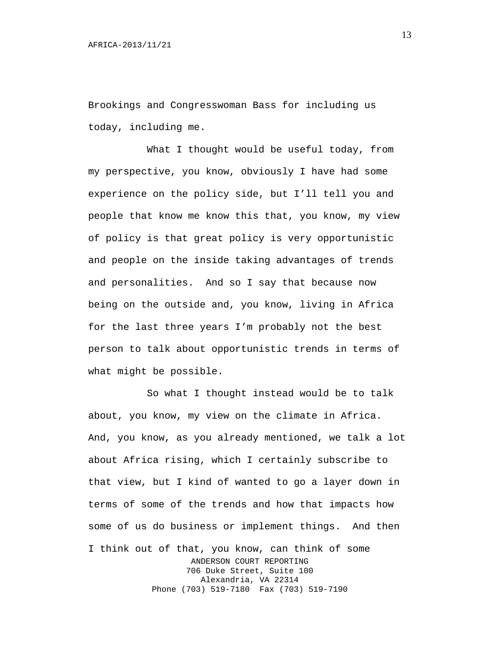Brookings and Congresswoman Bass for including us today, including me.

What I thought would be useful today, from my perspective, you know, obviously I have had some experience on the policy side, but I'll tell you and people that know me know this that, you know, my view of policy is that great policy is very opportunistic and people on the inside taking advantages of trends and personalities. And so I say that because now being on the outside and, you know, living in Africa for the last three years I'm probably not the best person to talk about opportunistic trends in terms of what might be possible.

So what I thought instead would be to talk about, you know, my view on the climate in Africa. And, you know, as you already mentioned, we talk a lot about Africa rising, which I certainly subscribe to that view, but I kind of wanted to go a layer down in terms of some of the trends and how that impacts how some of us do business or implement things. And then I think out of that, you know, can think of some ANDERSON COURT REPORTING 706 Duke Street, Suite 100 Alexandria, VA 22314 Phone (703) 519-7180 Fax (703) 519-7190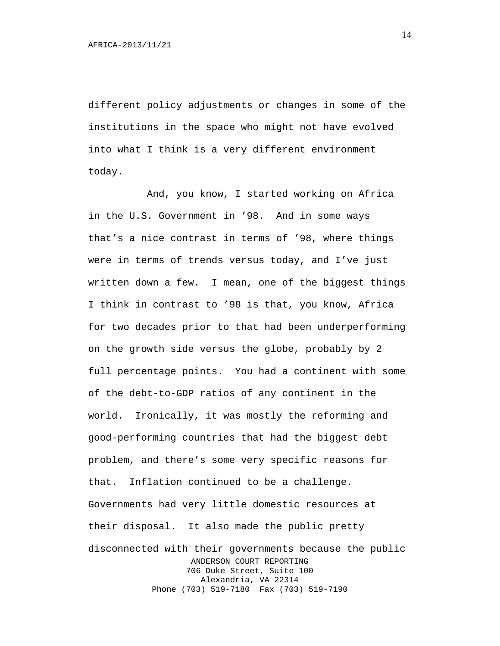different policy adjustments or changes in some of the institutions in the space who might not have evolved into what I think is a very different environment today.

And, you know, I started working on Africa in the U.S. Government in '98. And in some ways that's a nice contrast in terms of '98, where things were in terms of trends versus today, and I've just written down a few. I mean, one of the biggest things I think in contrast to '98 is that, you know, Africa for two decades prior to that had been underperforming on the growth side versus the globe, probably by 2 full percentage points. You had a continent with some of the debt-to-GDP ratios of any continent in the world. Ironically, it was mostly the reforming and good-performing countries that had the biggest debt problem, and there's some very specific reasons for that. Inflation continued to be a challenge. Governments had very little domestic resources at their disposal. It also made the public pretty disconnected with their governments because the public ANDERSON COURT REPORTING 706 Duke Street, Suite 100 Alexandria, VA 22314 Phone (703) 519-7180 Fax (703) 519-7190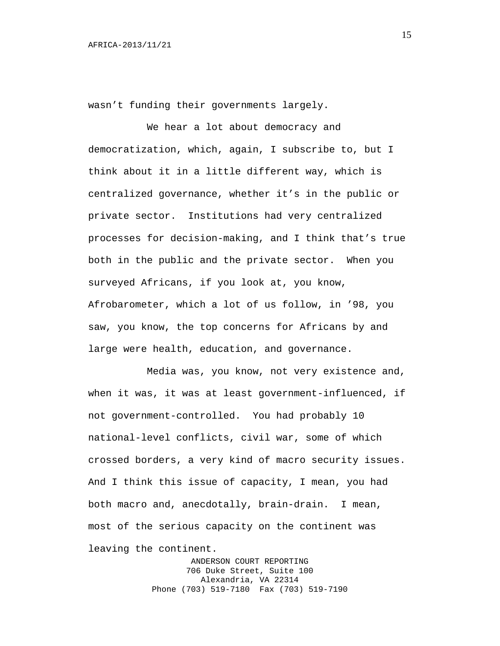wasn't funding their governments largely.

We hear a lot about democracy and democratization, which, again, I subscribe to, but I think about it in a little different way, which is centralized governance, whether it's in the public or private sector. Institutions had very centralized processes for decision-making, and I think that's true both in the public and the private sector. When you surveyed Africans, if you look at, you know, Afrobarometer, which a lot of us follow, in '98, you saw, you know, the top concerns for Africans by and large were health, education, and governance.

Media was, you know, not very existence and, when it was, it was at least government-influenced, if not government-controlled. You had probably 10 national-level conflicts, civil war, some of which crossed borders, a very kind of macro security issues. And I think this issue of capacity, I mean, you had both macro and, anecdotally, brain-drain. I mean, most of the serious capacity on the continent was leaving the continent.

> ANDERSON COURT REPORTING 706 Duke Street, Suite 100 Alexandria, VA 22314 Phone (703) 519-7180 Fax (703) 519-7190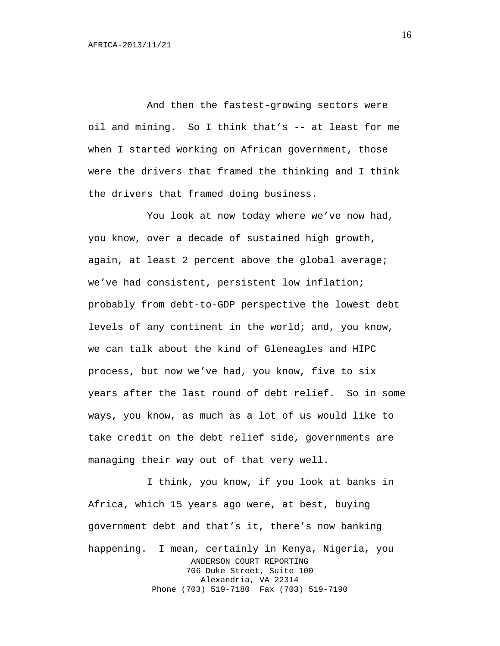And then the fastest-growing sectors were oil and mining. So I think that's -- at least for me when I started working on African government, those were the drivers that framed the thinking and I think the drivers that framed doing business.

You look at now today where we've now had, you know, over a decade of sustained high growth, again, at least 2 percent above the global average; we've had consistent, persistent low inflation; probably from debt-to-GDP perspective the lowest debt levels of any continent in the world; and, you know, we can talk about the kind of Gleneagles and HIPC process, but now we've had, you know, five to six years after the last round of debt relief. So in some ways, you know, as much as a lot of us would like to take credit on the debt relief side, governments are managing their way out of that very well.

I think, you know, if you look at banks in Africa, which 15 years ago were, at best, buying government debt and that's it, there's now banking happening. I mean, certainly in Kenya, Nigeria, you ANDERSON COURT REPORTING 706 Duke Street, Suite 100 Alexandria, VA 22314 Phone (703) 519-7180 Fax (703) 519-7190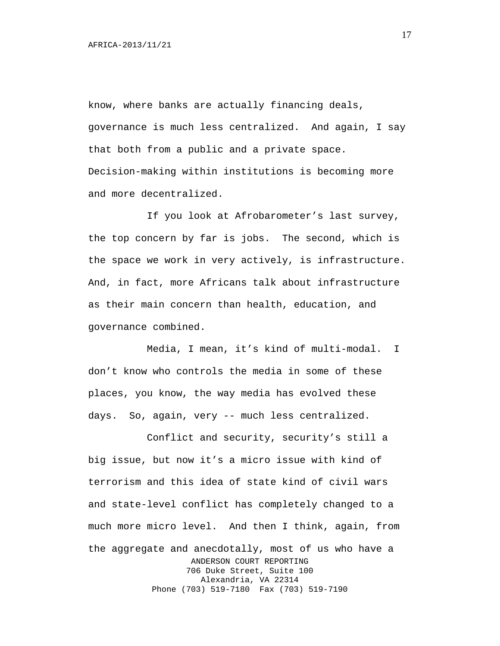know, where banks are actually financing deals, governance is much less centralized. And again, I say that both from a public and a private space. Decision-making within institutions is becoming more and more decentralized.

If you look at Afrobarometer's last survey, the top concern by far is jobs. The second, which is the space we work in very actively, is infrastructure. And, in fact, more Africans talk about infrastructure as their main concern than health, education, and governance combined.

Media, I mean, it's kind of multi-modal. I don't know who controls the media in some of these places, you know, the way media has evolved these days. So, again, very -- much less centralized.

Conflict and security, security's still a big issue, but now it's a micro issue with kind of terrorism and this idea of state kind of civil wars and state-level conflict has completely changed to a much more micro level. And then I think, again, from the aggregate and anecdotally, most of us who have a ANDERSON COURT REPORTING 706 Duke Street, Suite 100 Alexandria, VA 22314 Phone (703) 519-7180 Fax (703) 519-7190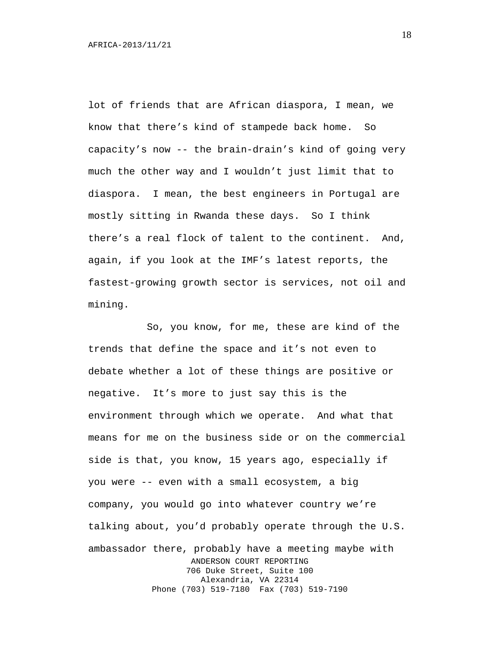lot of friends that are African diaspora, I mean, we know that there's kind of stampede back home. So capacity's now -- the brain-drain's kind of going very much the other way and I wouldn't just limit that to diaspora. I mean, the best engineers in Portugal are mostly sitting in Rwanda these days. So I think there's a real flock of talent to the continent. And, again, if you look at the IMF's latest reports, the fastest-growing growth sector is services, not oil and mining.

So, you know, for me, these are kind of the trends that define the space and it's not even to debate whether a lot of these things are positive or negative. It's more to just say this is the environment through which we operate. And what that means for me on the business side or on the commercial side is that, you know, 15 years ago, especially if you were -- even with a small ecosystem, a big company, you would go into whatever country we're talking about, you'd probably operate through the U.S. ambassador there, probably have a meeting maybe with ANDERSON COURT REPORTING 706 Duke Street, Suite 100 Alexandria, VA 22314 Phone (703) 519-7180 Fax (703) 519-7190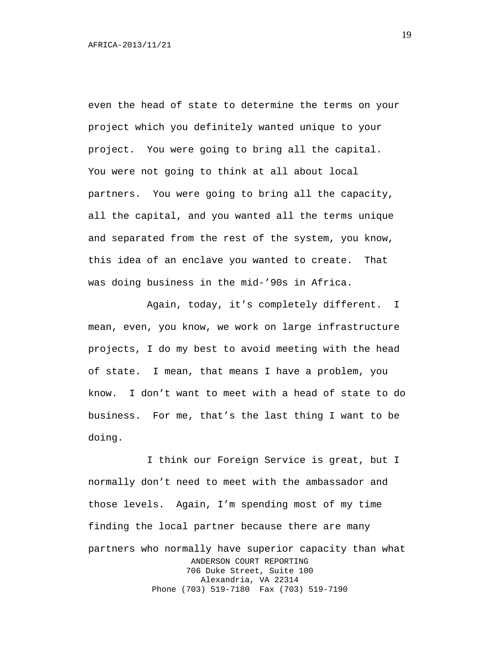even the head of state to determine the terms on your project which you definitely wanted unique to your project. You were going to bring all the capital. You were not going to think at all about local partners. You were going to bring all the capacity, all the capital, and you wanted all the terms unique and separated from the rest of the system, you know, this idea of an enclave you wanted to create. That was doing business in the mid-'90s in Africa.

Again, today, it's completely different. I mean, even, you know, we work on large infrastructure projects, I do my best to avoid meeting with the head of state. I mean, that means I have a problem, you know. I don't want to meet with a head of state to do business. For me, that's the last thing I want to be doing.

I think our Foreign Service is great, but I normally don't need to meet with the ambassador and those levels. Again, I'm spending most of my time finding the local partner because there are many partners who normally have superior capacity than what ANDERSON COURT REPORTING 706 Duke Street, Suite 100 Alexandria, VA 22314 Phone (703) 519-7180 Fax (703) 519-7190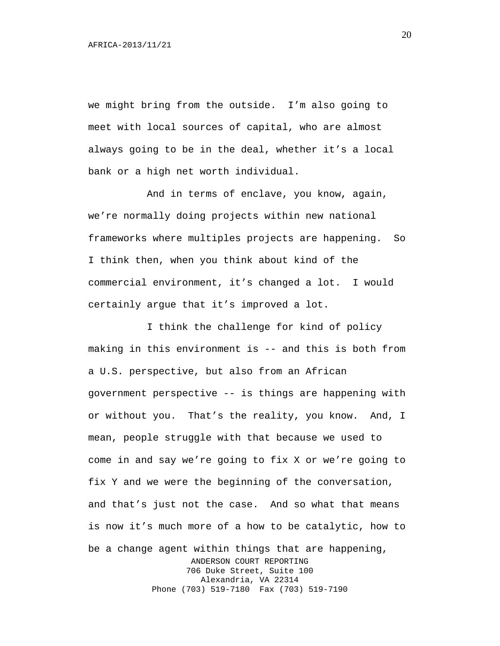we might bring from the outside. I'm also going to meet with local sources of capital, who are almost always going to be in the deal, whether it's a local bank or a high net worth individual.

And in terms of enclave, you know, again, we're normally doing projects within new national frameworks where multiples projects are happening. So I think then, when you think about kind of the commercial environment, it's changed a lot. I would certainly argue that it's improved a lot.

I think the challenge for kind of policy making in this environment is -- and this is both from a U.S. perspective, but also from an African government perspective -- is things are happening with or without you. That's the reality, you know. And, I mean, people struggle with that because we used to come in and say we're going to fix X or we're going to fix Y and we were the beginning of the conversation, and that's just not the case. And so what that means is now it's much more of a how to be catalytic, how to be a change agent within things that are happening, ANDERSON COURT REPORTING 706 Duke Street, Suite 100 Alexandria, VA 22314 Phone (703) 519-7180 Fax (703) 519-7190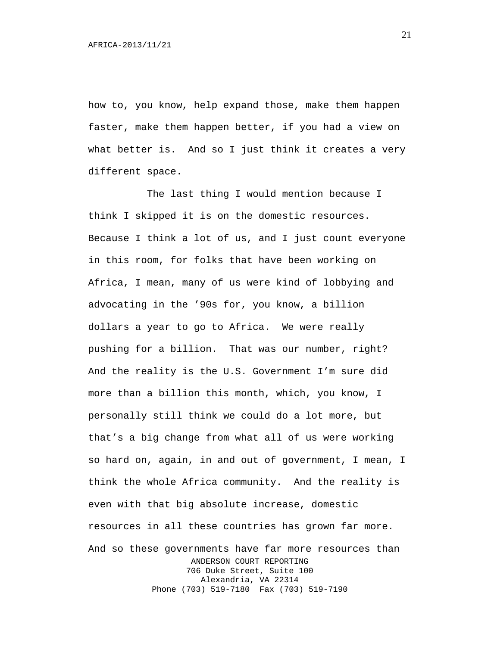how to, you know, help expand those, make them happen faster, make them happen better, if you had a view on what better is. And so I just think it creates a very different space.

The last thing I would mention because I think I skipped it is on the domestic resources. Because I think a lot of us, and I just count everyone in this room, for folks that have been working on Africa, I mean, many of us were kind of lobbying and advocating in the '90s for, you know, a billion dollars a year to go to Africa. We were really pushing for a billion. That was our number, right? And the reality is the U.S. Government I'm sure did more than a billion this month, which, you know, I personally still think we could do a lot more, but that's a big change from what all of us were working so hard on, again, in and out of government, I mean, I think the whole Africa community. And the reality is even with that big absolute increase, domestic resources in all these countries has grown far more. And so these governments have far more resources than ANDERSON COURT REPORTING 706 Duke Street, Suite 100 Alexandria, VA 22314 Phone (703) 519-7180 Fax (703) 519-7190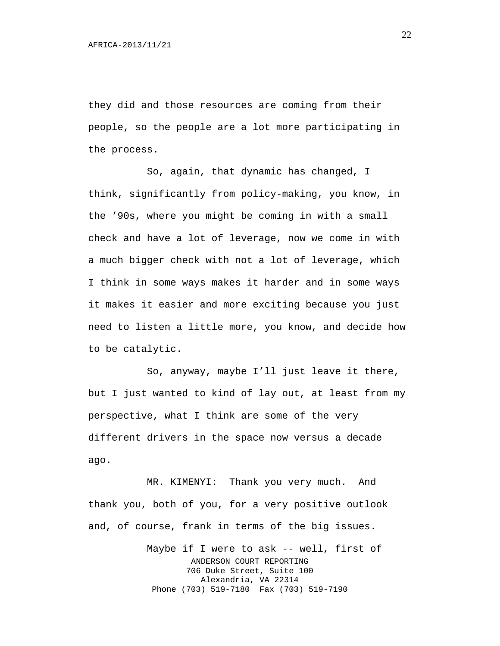they did and those resources are coming from their people, so the people are a lot more participating in the process.

So, again, that dynamic has changed, I think, significantly from policy-making, you know, in the '90s, where you might be coming in with a small check and have a lot of leverage, now we come in with a much bigger check with not a lot of leverage, which I think in some ways makes it harder and in some ways it makes it easier and more exciting because you just need to listen a little more, you know, and decide how to be catalytic.

So, anyway, maybe I'll just leave it there, but I just wanted to kind of lay out, at least from my perspective, what I think are some of the very different drivers in the space now versus a decade ago.

MR. KIMENYI: Thank you very much. And thank you, both of you, for a very positive outlook and, of course, frank in terms of the big issues.

> Maybe if I were to ask -- well, first of ANDERSON COURT REPORTING 706 Duke Street, Suite 100 Alexandria, VA 22314 Phone (703) 519-7180 Fax (703) 519-7190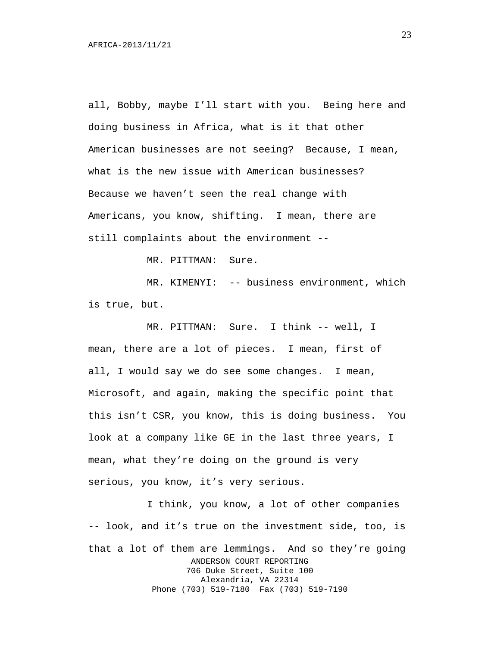all, Bobby, maybe I'll start with you. Being here and doing business in Africa, what is it that other American businesses are not seeing? Because, I mean, what is the new issue with American businesses? Because we haven't seen the real change with Americans, you know, shifting. I mean, there are still complaints about the environment --

MR. PITTMAN: Sure.

MR. KIMENYI: -- business environment, which is true, but.

MR. PITTMAN: Sure. I think -- well, I mean, there are a lot of pieces. I mean, first of all, I would say we do see some changes. I mean, Microsoft, and again, making the specific point that this isn't CSR, you know, this is doing business. You look at a company like GE in the last three years, I mean, what they're doing on the ground is very serious, you know, it's very serious.

I think, you know, a lot of other companies -- look, and it's true on the investment side, too, is that a lot of them are lemmings. And so they're going ANDERSON COURT REPORTING 706 Duke Street, Suite 100 Alexandria, VA 22314 Phone (703) 519-7180 Fax (703) 519-7190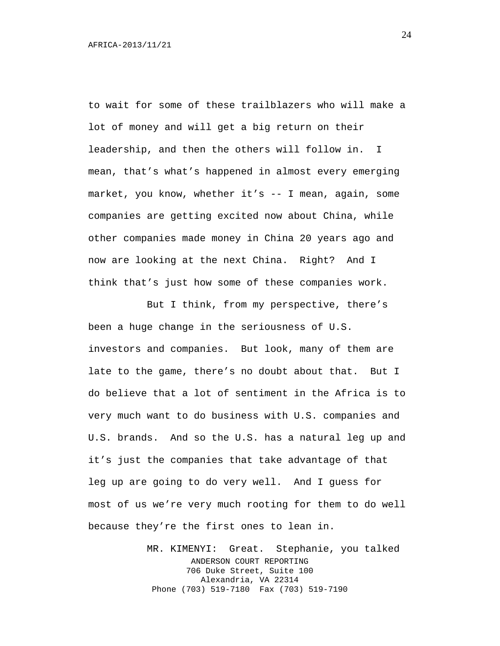to wait for some of these trailblazers who will make a lot of money and will get a big return on their leadership, and then the others will follow in. I mean, that's what's happened in almost every emerging market, you know, whether it's  $-$ - I mean, again, some companies are getting excited now about China, while other companies made money in China 20 years ago and now are looking at the next China. Right? And I think that's just how some of these companies work.

But I think, from my perspective, there's been a huge change in the seriousness of U.S. investors and companies. But look, many of them are late to the game, there's no doubt about that. But I do believe that a lot of sentiment in the Africa is to very much want to do business with U.S. companies and U.S. brands. And so the U.S. has a natural leg up and it's just the companies that take advantage of that leg up are going to do very well. And I guess for most of us we're very much rooting for them to do well because they're the first ones to lean in.

> MR. KIMENYI: Great. Stephanie, you talked ANDERSON COURT REPORTING 706 Duke Street, Suite 100 Alexandria, VA 22314 Phone (703) 519-7180 Fax (703) 519-7190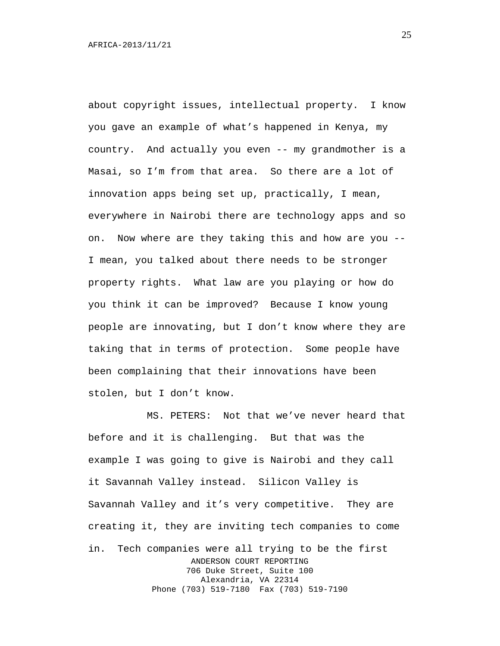about copyright issues, intellectual property. I know you gave an example of what's happened in Kenya, my country. And actually you even -- my grandmother is a Masai, so I'm from that area. So there are a lot of innovation apps being set up, practically, I mean, everywhere in Nairobi there are technology apps and so on. Now where are they taking this and how are you -- I mean, you talked about there needs to be stronger property rights. What law are you playing or how do you think it can be improved? Because I know young people are innovating, but I don't know where they are taking that in terms of protection. Some people have been complaining that their innovations have been stolen, but I don't know.

MS. PETERS: Not that we've never heard that before and it is challenging. But that was the example I was going to give is Nairobi and they call it Savannah Valley instead. Silicon Valley is Savannah Valley and it's very competitive. They are creating it, they are inviting tech companies to come in. Tech companies were all trying to be the first ANDERSON COURT REPORTING 706 Duke Street, Suite 100 Alexandria, VA 22314 Phone (703) 519-7180 Fax (703) 519-7190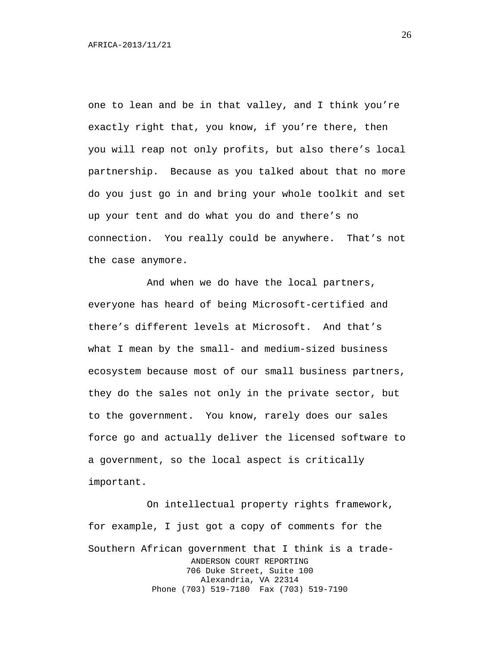one to lean and be in that valley, and I think you're exactly right that, you know, if you're there, then you will reap not only profits, but also there's local partnership. Because as you talked about that no more do you just go in and bring your whole toolkit and set up your tent and do what you do and there's no connection. You really could be anywhere. That's not the case anymore.

And when we do have the local partners, everyone has heard of being Microsoft-certified and there's different levels at Microsoft. And that's what I mean by the small- and medium-sized business ecosystem because most of our small business partners, they do the sales not only in the private sector, but to the government. You know, rarely does our sales force go and actually deliver the licensed software to a government, so the local aspect is critically important.

On intellectual property rights framework, for example, I just got a copy of comments for the Southern African government that I think is a trade-ANDERSON COURT REPORTING 706 Duke Street, Suite 100 Alexandria, VA 22314 Phone (703) 519-7180 Fax (703) 519-7190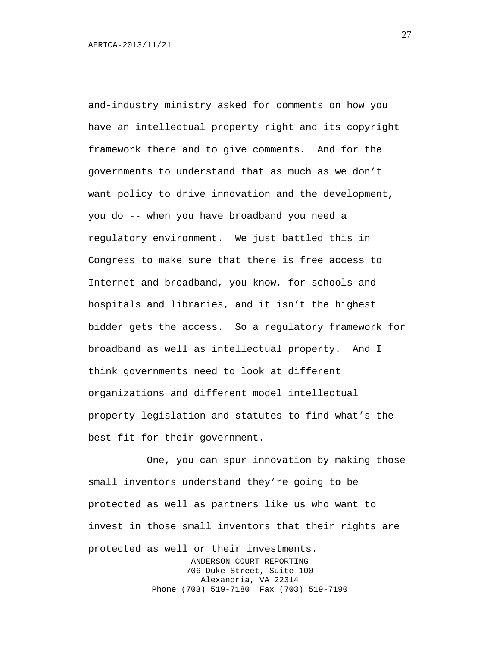and-industry ministry asked for comments on how you have an intellectual property right and its copyright framework there and to give comments. And for the governments to understand that as much as we don't want policy to drive innovation and the development, you do -- when you have broadband you need a regulatory environment. We just battled this in Congress to make sure that there is free access to Internet and broadband, you know, for schools and hospitals and libraries, and it isn't the highest bidder gets the access. So a regulatory framework for broadband as well as intellectual property. And I think governments need to look at different organizations and different model intellectual property legislation and statutes to find what's the best fit for their government.

One, you can spur innovation by making those small inventors understand they're going to be protected as well as partners like us who want to invest in those small inventors that their rights are protected as well or their investments. ANDERSON COURT REPORTING 706 Duke Street, Suite 100 Alexandria, VA 22314 Phone (703) 519-7180 Fax (703) 519-7190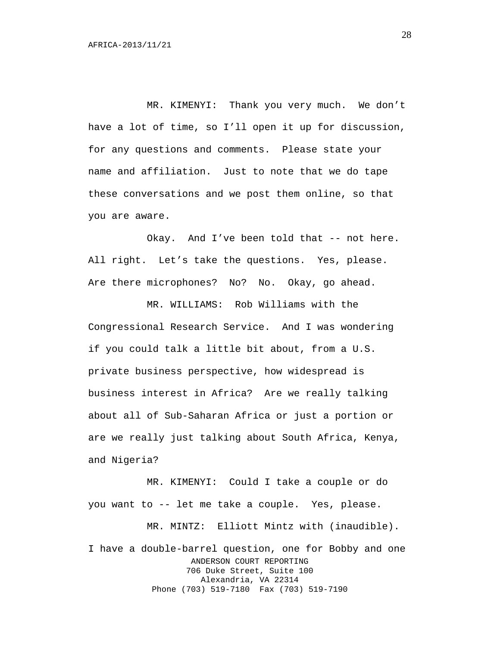MR. KIMENYI: Thank you very much. We don't have a lot of time, so I'll open it up for discussion, for any questions and comments. Please state your name and affiliation. Just to note that we do tape these conversations and we post them online, so that you are aware.

Okay. And I've been told that -- not here. All right. Let's take the questions. Yes, please. Are there microphones? No? No. Okay, go ahead.

MR. WILLIAMS: Rob Williams with the Congressional Research Service. And I was wondering if you could talk a little bit about, from a U.S. private business perspective, how widespread is business interest in Africa? Are we really talking about all of Sub-Saharan Africa or just a portion or are we really just talking about South Africa, Kenya, and Nigeria?

MR. KIMENYI: Could I take a couple or do you want to -- let me take a couple. Yes, please. MR. MINTZ: Elliott Mintz with (inaudible). I have a double-barrel question, one for Bobby and one ANDERSON COURT REPORTING 706 Duke Street, Suite 100 Alexandria, VA 22314 Phone (703) 519-7180 Fax (703) 519-7190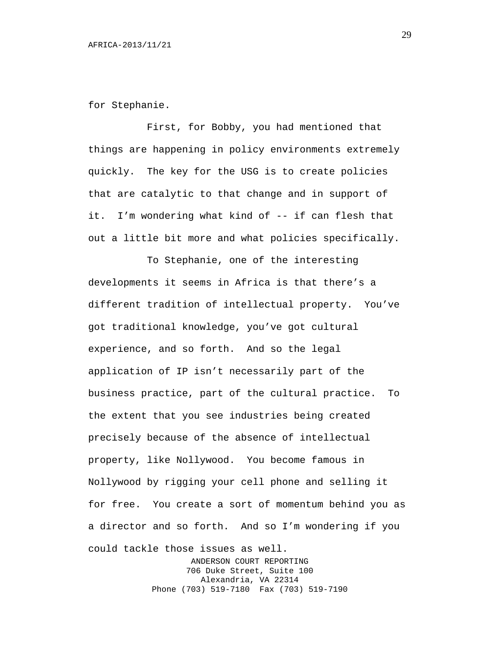for Stephanie.

First, for Bobby, you had mentioned that things are happening in policy environments extremely quickly. The key for the USG is to create policies that are catalytic to that change and in support of it. I'm wondering what kind of -- if can flesh that out a little bit more and what policies specifically.

To Stephanie, one of the interesting developments it seems in Africa is that there's a different tradition of intellectual property. You've got traditional knowledge, you've got cultural experience, and so forth. And so the legal application of IP isn't necessarily part of the business practice, part of the cultural practice. To the extent that you see industries being created precisely because of the absence of intellectual property, like Nollywood. You become famous in Nollywood by rigging your cell phone and selling it for free. You create a sort of momentum behind you as a director and so forth. And so I'm wondering if you could tackle those issues as well. ANDERSON COURT REPORTING

706 Duke Street, Suite 100 Alexandria, VA 22314 Phone (703) 519-7180 Fax (703) 519-7190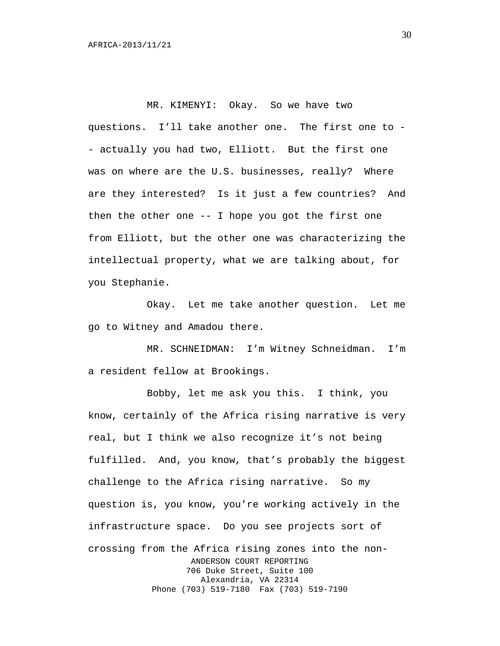MR. KIMENYI: Okay. So we have two questions. I'll take another one. The first one to - - actually you had two, Elliott. But the first one was on where are the U.S. businesses, really? Where are they interested? Is it just a few countries? And then the other one -- I hope you got the first one from Elliott, but the other one was characterizing the intellectual property, what we are talking about, for you Stephanie.

Okay. Let me take another question. Let me go to Witney and Amadou there.

MR. SCHNEIDMAN: I'm Witney Schneidman. I'm a resident fellow at Brookings.

Bobby, let me ask you this. I think, you know, certainly of the Africa rising narrative is very real, but I think we also recognize it's not being fulfilled. And, you know, that's probably the biggest challenge to the Africa rising narrative. So my question is, you know, you're working actively in the infrastructure space. Do you see projects sort of crossing from the Africa rising zones into the non-ANDERSON COURT REPORTING 706 Duke Street, Suite 100 Alexandria, VA 22314 Phone (703) 519-7180 Fax (703) 519-7190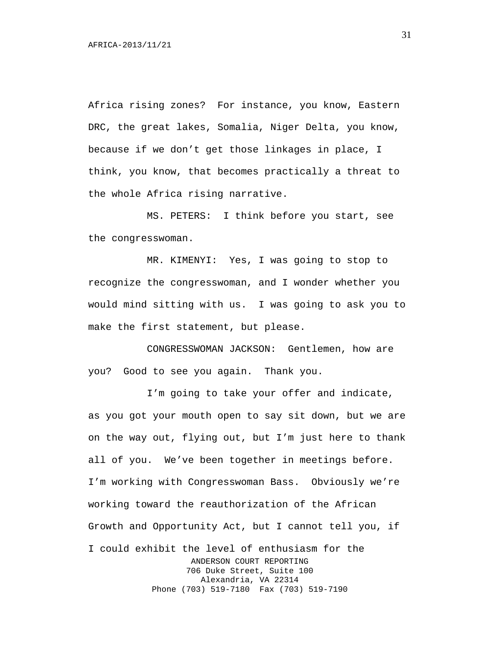Africa rising zones? For instance, you know, Eastern DRC, the great lakes, Somalia, Niger Delta, you know, because if we don't get those linkages in place, I think, you know, that becomes practically a threat to the whole Africa rising narrative.

MS. PETERS: I think before you start, see the congresswoman.

MR. KIMENYI: Yes, I was going to stop to recognize the congresswoman, and I wonder whether you would mind sitting with us. I was going to ask you to make the first statement, but please.

CONGRESSWOMAN JACKSON: Gentlemen, how are you? Good to see you again. Thank you.

I'm going to take your offer and indicate, as you got your mouth open to say sit down, but we are on the way out, flying out, but I'm just here to thank all of you. We've been together in meetings before. I'm working with Congresswoman Bass. Obviously we're working toward the reauthorization of the African Growth and Opportunity Act, but I cannot tell you, if I could exhibit the level of enthusiasm for the ANDERSON COURT REPORTING 706 Duke Street, Suite 100 Alexandria, VA 22314 Phone (703) 519-7180 Fax (703) 519-7190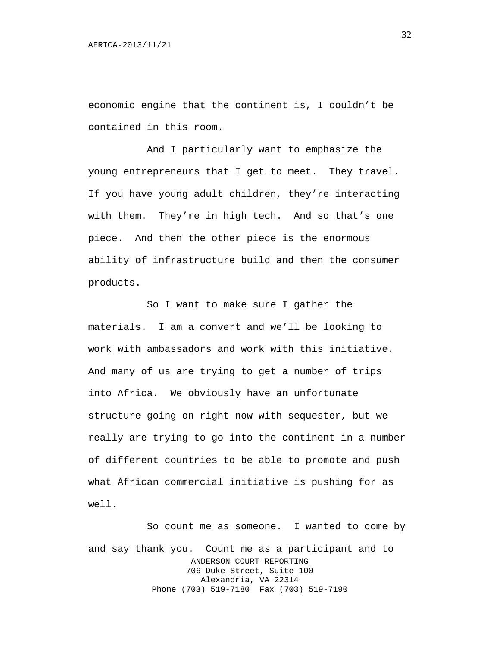economic engine that the continent is, I couldn't be contained in this room.

And I particularly want to emphasize the young entrepreneurs that I get to meet. They travel. If you have young adult children, they're interacting with them. They're in high tech. And so that's one piece. And then the other piece is the enormous ability of infrastructure build and then the consumer products.

So I want to make sure I gather the materials. I am a convert and we'll be looking to work with ambassadors and work with this initiative. And many of us are trying to get a number of trips into Africa. We obviously have an unfortunate structure going on right now with sequester, but we really are trying to go into the continent in a number of different countries to be able to promote and push what African commercial initiative is pushing for as well.

So count me as someone. I wanted to come by and say thank you. Count me as a participant and to ANDERSON COURT REPORTING 706 Duke Street, Suite 100 Alexandria, VA 22314 Phone (703) 519-7180 Fax (703) 519-7190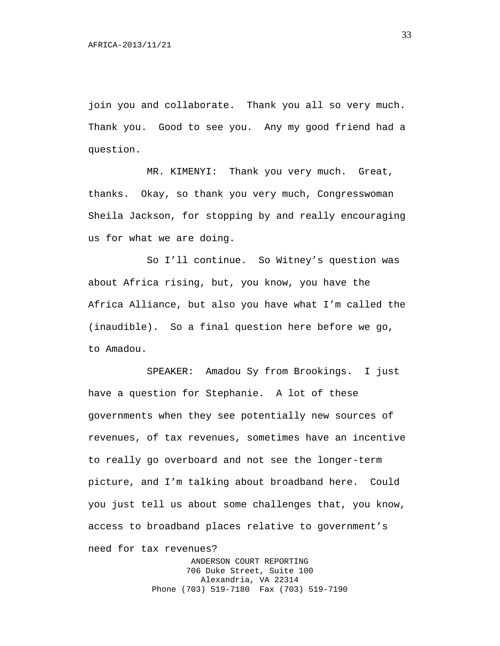join you and collaborate. Thank you all so very much. Thank you. Good to see you. Any my good friend had a question.

MR. KIMENYI: Thank you very much. Great, thanks. Okay, so thank you very much, Congresswoman Sheila Jackson, for stopping by and really encouraging us for what we are doing.

So I'll continue. So Witney's question was about Africa rising, but, you know, you have the Africa Alliance, but also you have what I'm called the (inaudible). So a final question here before we go, to Amadou.

SPEAKER: Amadou Sy from Brookings. I just have a question for Stephanie. A lot of these governments when they see potentially new sources of revenues, of tax revenues, sometimes have an incentive to really go overboard and not see the longer-term picture, and I'm talking about broadband here. Could you just tell us about some challenges that, you know, access to broadband places relative to government's need for tax revenues?

> ANDERSON COURT REPORTING 706 Duke Street, Suite 100 Alexandria, VA 22314 Phone (703) 519-7180 Fax (703) 519-7190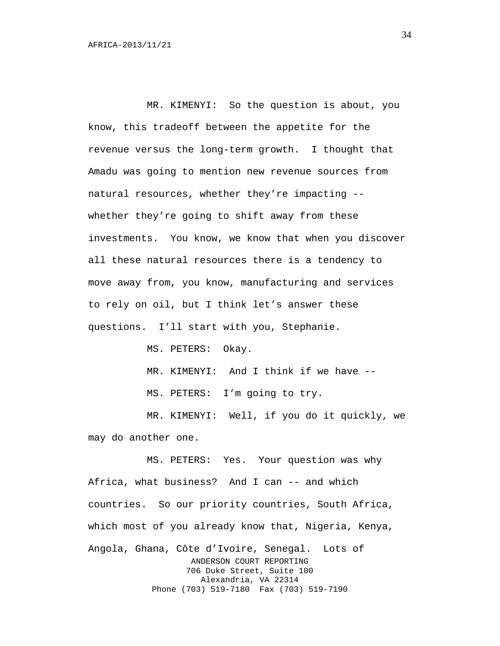MR. KIMENYI: So the question is about, you know, this tradeoff between the appetite for the revenue versus the long-term growth. I thought that Amadu was going to mention new revenue sources from natural resources, whether they're impacting - whether they're going to shift away from these investments. You know, we know that when you discover all these natural resources there is a tendency to move away from, you know, manufacturing and services to rely on oil, but I think let's answer these questions. I'll start with you, Stephanie.

MS. PETERS: Okay.

MR. KIMENYI: And I think if we have --

MS. PETERS: I'm going to try.

MR. KIMENYI: Well, if you do it quickly, we may do another one.

MS. PETERS: Yes. Your question was why Africa, what business? And I can -- and which countries. So our priority countries, South Africa, which most of you already know that, Nigeria, Kenya, Angola, Ghana, Côte d'Ivoire, Senegal. Lots of ANDERSON COURT REPORTING 706 Duke Street, Suite 100 Alexandria, VA 22314 Phone (703) 519-7180 Fax (703) 519-7190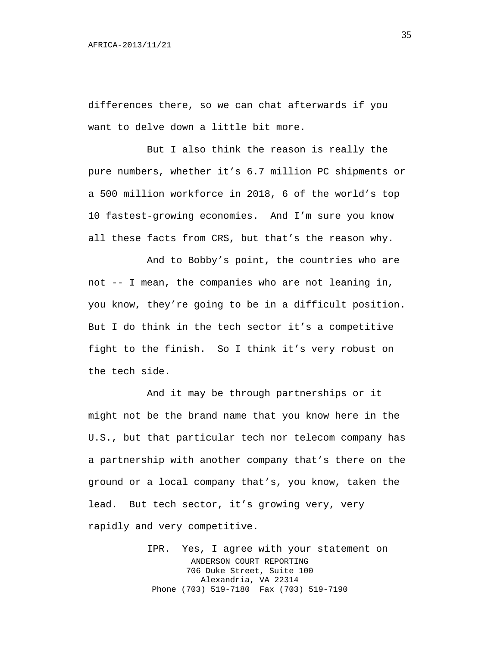differences there, so we can chat afterwards if you want to delve down a little bit more.

But I also think the reason is really the pure numbers, whether it's 6.7 million PC shipments or a 500 million workforce in 2018, 6 of the world's top 10 fastest-growing economies. And I'm sure you know all these facts from CRS, but that's the reason why.

And to Bobby's point, the countries who are not -- I mean, the companies who are not leaning in, you know, they're going to be in a difficult position. But I do think in the tech sector it's a competitive fight to the finish. So I think it's very robust on the tech side.

And it may be through partnerships or it might not be the brand name that you know here in the U.S., but that particular tech nor telecom company has a partnership with another company that's there on the ground or a local company that's, you know, taken the lead. But tech sector, it's growing very, very rapidly and very competitive.

> IPR. Yes, I agree with your statement on ANDERSON COURT REPORTING 706 Duke Street, Suite 100 Alexandria, VA 22314 Phone (703) 519-7180 Fax (703) 519-7190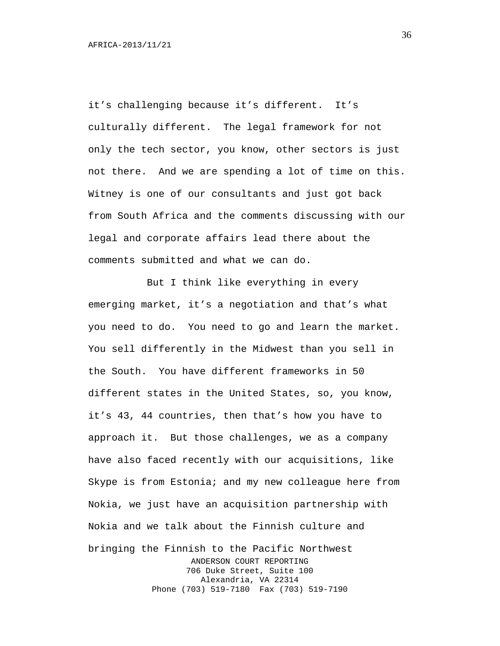it's challenging because it's different. It's culturally different. The legal framework for not only the tech sector, you know, other sectors is just not there. And we are spending a lot of time on this. Witney is one of our consultants and just got back from South Africa and the comments discussing with our legal and corporate affairs lead there about the comments submitted and what we can do.

But I think like everything in every emerging market, it's a negotiation and that's what you need to do. You need to go and learn the market. You sell differently in the Midwest than you sell in the South. You have different frameworks in 50 different states in the United States, so, you know, it's 43, 44 countries, then that's how you have to approach it. But those challenges, we as a company have also faced recently with our acquisitions, like Skype is from Estonia; and my new colleague here from Nokia, we just have an acquisition partnership with Nokia and we talk about the Finnish culture and bringing the Finnish to the Pacific Northwest ANDERSON COURT REPORTING 706 Duke Street, Suite 100 Alexandria, VA 22314 Phone (703) 519-7180 Fax (703) 519-7190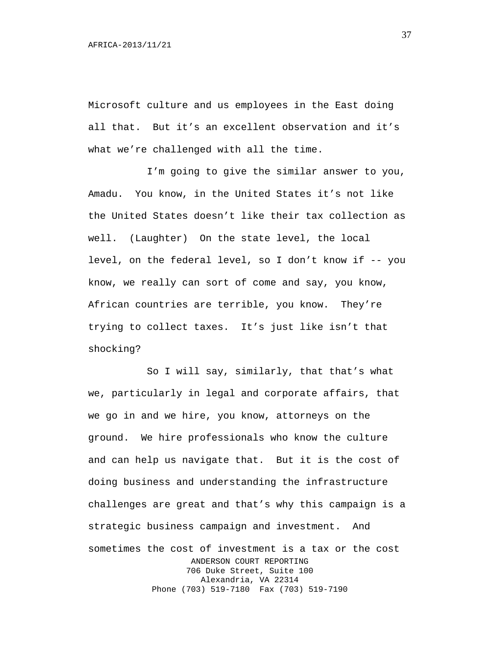Microsoft culture and us employees in the East doing all that. But it's an excellent observation and it's what we're challenged with all the time.

I'm going to give the similar answer to you, Amadu. You know, in the United States it's not like the United States doesn't like their tax collection as well. (Laughter) On the state level, the local level, on the federal level, so I don't know if -- you know, we really can sort of come and say, you know, African countries are terrible, you know. They're trying to collect taxes. It's just like isn't that shocking?

So I will say, similarly, that that's what we, particularly in legal and corporate affairs, that we go in and we hire, you know, attorneys on the ground. We hire professionals who know the culture and can help us navigate that. But it is the cost of doing business and understanding the infrastructure challenges are great and that's why this campaign is a strategic business campaign and investment. And sometimes the cost of investment is a tax or the cost ANDERSON COURT REPORTING 706 Duke Street, Suite 100 Alexandria, VA 22314 Phone (703) 519-7180 Fax (703) 519-7190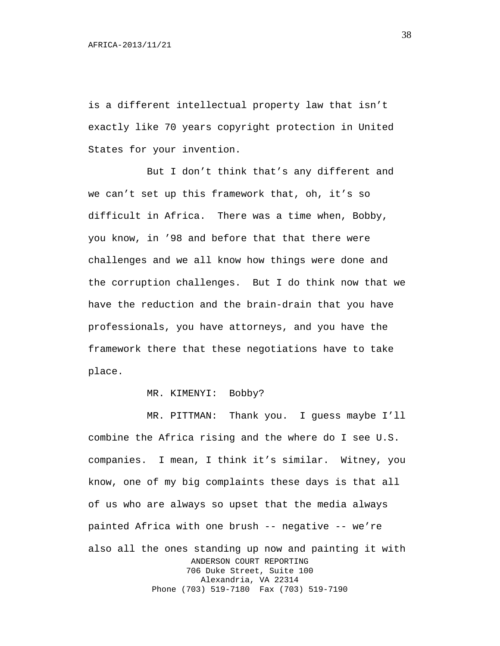is a different intellectual property law that isn't exactly like 70 years copyright protection in United States for your invention.

But I don't think that's any different and we can't set up this framework that, oh, it's so difficult in Africa. There was a time when, Bobby, you know, in '98 and before that that there were challenges and we all know how things were done and the corruption challenges. But I do think now that we have the reduction and the brain-drain that you have professionals, you have attorneys, and you have the framework there that these negotiations have to take place.

#### MR. KIMENYI: Bobby?

MR. PITTMAN: Thank you. I guess maybe I'll combine the Africa rising and the where do I see U.S. companies. I mean, I think it's similar. Witney, you know, one of my big complaints these days is that all of us who are always so upset that the media always painted Africa with one brush -- negative -- we're also all the ones standing up now and painting it with ANDERSON COURT REPORTING 706 Duke Street, Suite 100 Alexandria, VA 22314 Phone (703) 519-7180 Fax (703) 519-7190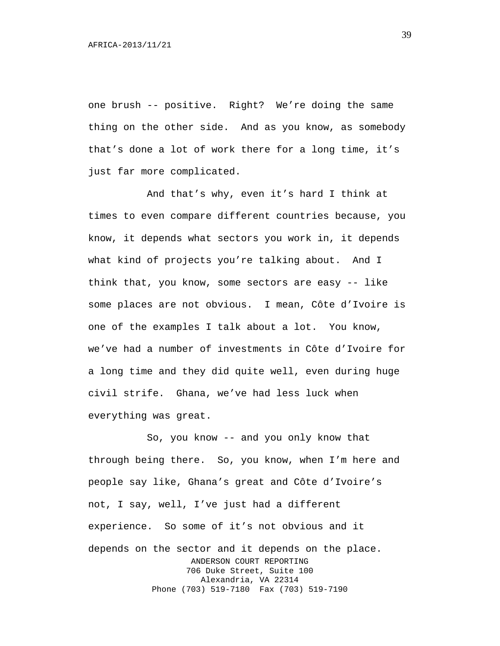one brush -- positive. Right? We're doing the same thing on the other side. And as you know, as somebody that's done a lot of work there for a long time, it's just far more complicated.

And that's why, even it's hard I think at times to even compare different countries because, you know, it depends what sectors you work in, it depends what kind of projects you're talking about. And I think that, you know, some sectors are easy -- like some places are not obvious. I mean, Côte d'Ivoire is one of the examples I talk about a lot. You know, we've had a number of investments in Côte d'Ivoire for a long time and they did quite well, even during huge civil strife. Ghana, we've had less luck when everything was great.

So, you know -- and you only know that through being there. So, you know, when I'm here and people say like, Ghana's great and Côte d'Ivoire's not, I say, well, I've just had a different experience. So some of it's not obvious and it depends on the sector and it depends on the place. ANDERSON COURT REPORTING 706 Duke Street, Suite 100 Alexandria, VA 22314 Phone (703) 519-7180 Fax (703) 519-7190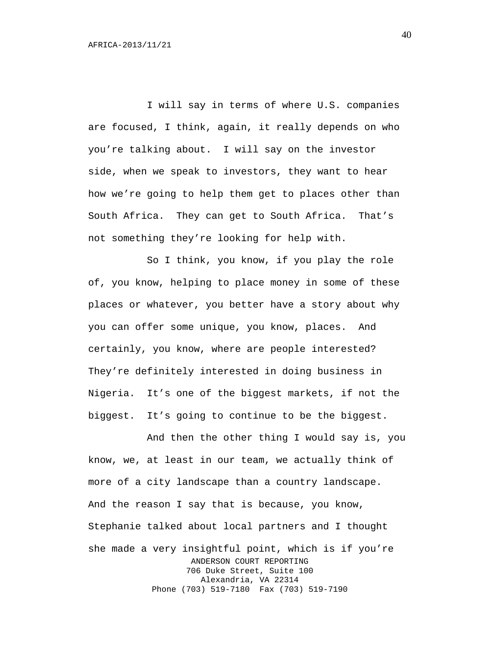I will say in terms of where U.S. companies are focused, I think, again, it really depends on who you're talking about. I will say on the investor side, when we speak to investors, they want to hear how we're going to help them get to places other than South Africa. They can get to South Africa. That's not something they're looking for help with.

So I think, you know, if you play the role of, you know, helping to place money in some of these places or whatever, you better have a story about why you can offer some unique, you know, places. And certainly, you know, where are people interested? They're definitely interested in doing business in Nigeria. It's one of the biggest markets, if not the biggest. It's going to continue to be the biggest.

And then the other thing I would say is, you know, we, at least in our team, we actually think of more of a city landscape than a country landscape. And the reason I say that is because, you know, Stephanie talked about local partners and I thought she made a very insightful point, which is if you're ANDERSON COURT REPORTING 706 Duke Street, Suite 100 Alexandria, VA 22314 Phone (703) 519-7180 Fax (703) 519-7190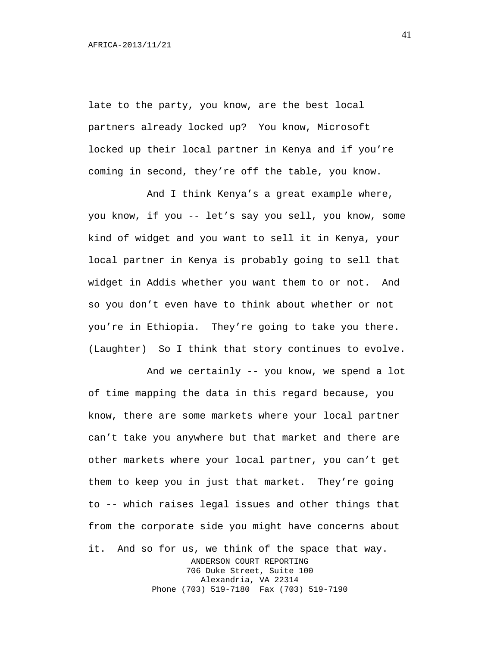late to the party, you know, are the best local partners already locked up? You know, Microsoft locked up their local partner in Kenya and if you're coming in second, they're off the table, you know.

And I think Kenya's a great example where, you know, if you -- let's say you sell, you know, some kind of widget and you want to sell it in Kenya, your local partner in Kenya is probably going to sell that widget in Addis whether you want them to or not. And so you don't even have to think about whether or not you're in Ethiopia. They're going to take you there. (Laughter) So I think that story continues to evolve.

And we certainly -- you know, we spend a lot of time mapping the data in this regard because, you know, there are some markets where your local partner can't take you anywhere but that market and there are other markets where your local partner, you can't get them to keep you in just that market. They're going to -- which raises legal issues and other things that from the corporate side you might have concerns about it. And so for us, we think of the space that way. ANDERSON COURT REPORTING 706 Duke Street, Suite 100 Alexandria, VA 22314 Phone (703) 519-7180 Fax (703) 519-7190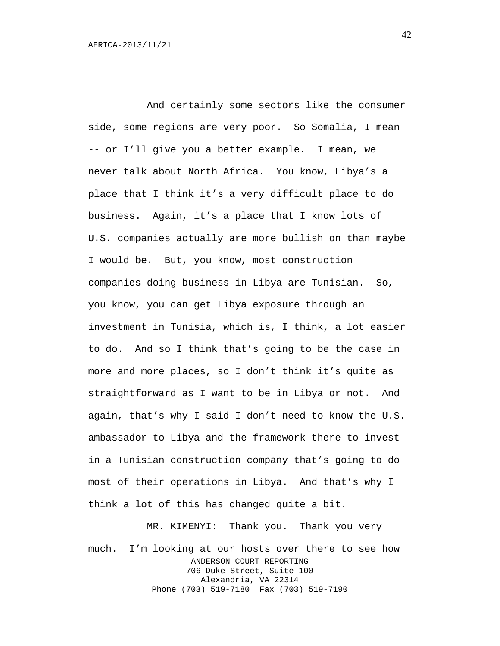And certainly some sectors like the consumer side, some regions are very poor. So Somalia, I mean -- or I'll give you a better example. I mean, we never talk about North Africa. You know, Libya's a place that I think it's a very difficult place to do business. Again, it's a place that I know lots of U.S. companies actually are more bullish on than maybe I would be. But, you know, most construction companies doing business in Libya are Tunisian. So, you know, you can get Libya exposure through an investment in Tunisia, which is, I think, a lot easier to do. And so I think that's going to be the case in more and more places, so I don't think it's quite as straightforward as I want to be in Libya or not. And again, that's why I said I don't need to know the U.S. ambassador to Libya and the framework there to invest in a Tunisian construction company that's going to do most of their operations in Libya. And that's why I think a lot of this has changed quite a bit.

MR. KIMENYI: Thank you. Thank you very much. I'm looking at our hosts over there to see how ANDERSON COURT REPORTING 706 Duke Street, Suite 100 Alexandria, VA 22314 Phone (703) 519-7180 Fax (703) 519-7190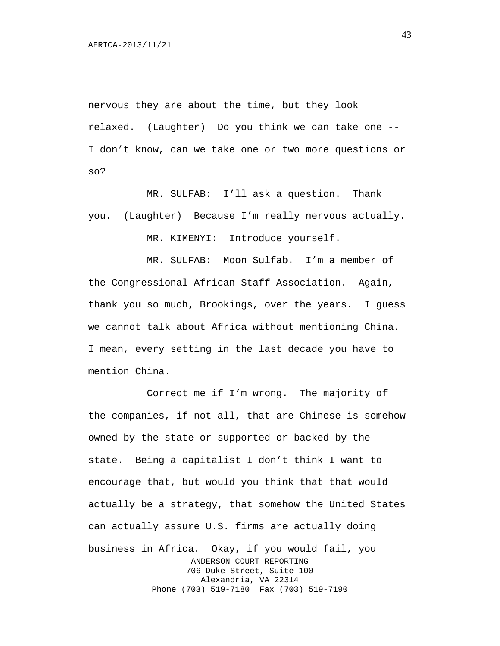nervous they are about the time, but they look relaxed. (Laughter) Do you think we can take one -- I don't know, can we take one or two more questions or so?

MR. SULFAB: I'll ask a question. Thank you. (Laughter) Because I'm really nervous actually.

MR. KIMENYI: Introduce yourself.

MR. SULFAB: Moon Sulfab. I'm a member of the Congressional African Staff Association. Again, thank you so much, Brookings, over the years. I guess we cannot talk about Africa without mentioning China. I mean, every setting in the last decade you have to mention China.

Correct me if I'm wrong. The majority of the companies, if not all, that are Chinese is somehow owned by the state or supported or backed by the state. Being a capitalist I don't think I want to encourage that, but would you think that that would actually be a strategy, that somehow the United States can actually assure U.S. firms are actually doing business in Africa. Okay, if you would fail, you ANDERSON COURT REPORTING 706 Duke Street, Suite 100 Alexandria, VA 22314 Phone (703) 519-7180 Fax (703) 519-7190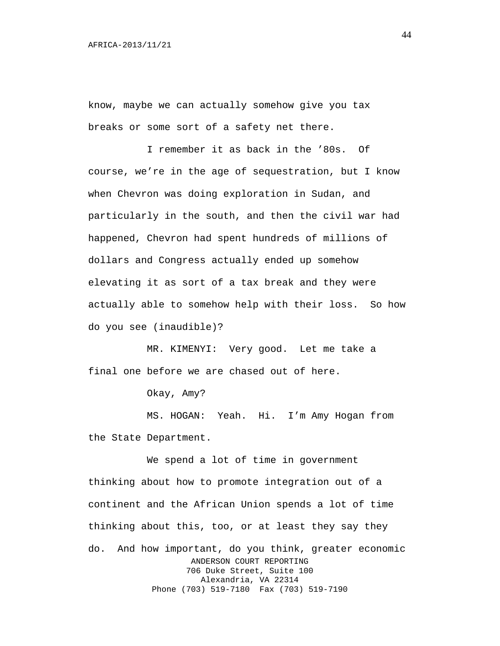know, maybe we can actually somehow give you tax breaks or some sort of a safety net there.

I remember it as back in the '80s. Of course, we're in the age of sequestration, but I know when Chevron was doing exploration in Sudan, and particularly in the south, and then the civil war had happened, Chevron had spent hundreds of millions of dollars and Congress actually ended up somehow elevating it as sort of a tax break and they were actually able to somehow help with their loss. So how do you see (inaudible)?

MR. KIMENYI: Very good. Let me take a final one before we are chased out of here.

Okay, Amy?

MS. HOGAN: Yeah. Hi. I'm Amy Hogan from the State Department.

We spend a lot of time in government thinking about how to promote integration out of a continent and the African Union spends a lot of time thinking about this, too, or at least they say they do. And how important, do you think, greater economic ANDERSON COURT REPORTING 706 Duke Street, Suite 100 Alexandria, VA 22314 Phone (703) 519-7180 Fax (703) 519-7190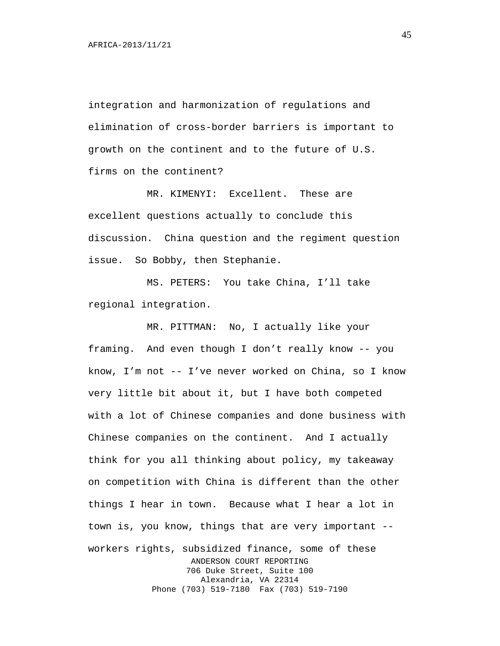integration and harmonization of regulations and elimination of cross-border barriers is important to growth on the continent and to the future of U.S. firms on the continent?

MR. KIMENYI: Excellent. These are excellent questions actually to conclude this discussion. China question and the regiment question issue. So Bobby, then Stephanie.

MS. PETERS: You take China, I'll take regional integration.

MR. PITTMAN: No, I actually like your framing. And even though I don't really know -- you know, I'm not -- I've never worked on China, so I know very little bit about it, but I have both competed with a lot of Chinese companies and done business with Chinese companies on the continent. And I actually think for you all thinking about policy, my takeaway on competition with China is different than the other things I hear in town. Because what I hear a lot in town is, you know, things that are very important - workers rights, subsidized finance, some of these ANDERSON COURT REPORTING 706 Duke Street, Suite 100 Alexandria, VA 22314 Phone (703) 519-7180 Fax (703) 519-7190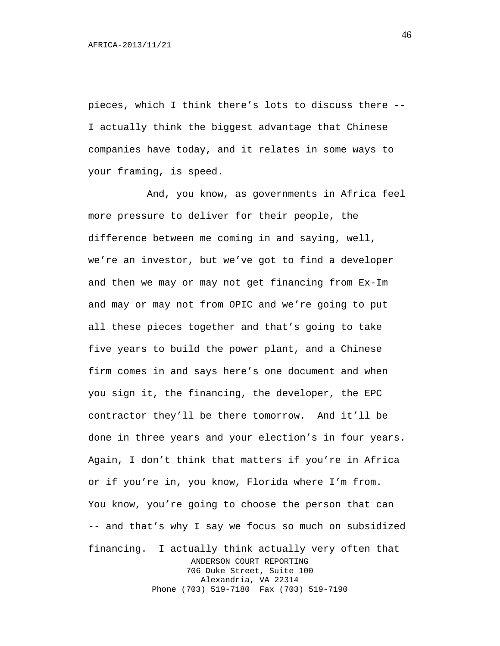pieces, which I think there's lots to discuss there -- I actually think the biggest advantage that Chinese companies have today, and it relates in some ways to your framing, is speed.

And, you know, as governments in Africa feel more pressure to deliver for their people, the difference between me coming in and saying, well, we're an investor, but we've got to find a developer and then we may or may not get financing from Ex-Im and may or may not from OPIC and we're going to put all these pieces together and that's going to take five years to build the power plant, and a Chinese firm comes in and says here's one document and when you sign it, the financing, the developer, the EPC contractor they'll be there tomorrow. And it'll be done in three years and your election's in four years. Again, I don't think that matters if you're in Africa or if you're in, you know, Florida where I'm from. You know, you're going to choose the person that can -- and that's why I say we focus so much on subsidized financing. I actually think actually very often that ANDERSON COURT REPORTING 706 Duke Street, Suite 100 Alexandria, VA 22314 Phone (703) 519-7180 Fax (703) 519-7190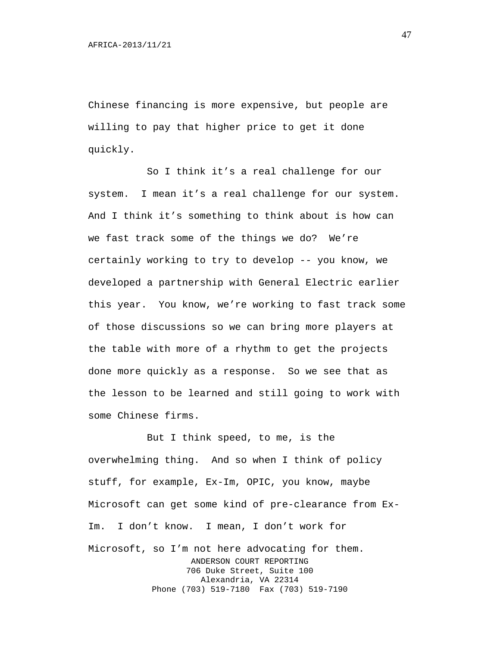Chinese financing is more expensive, but people are willing to pay that higher price to get it done quickly.

So I think it's a real challenge for our system. I mean it's a real challenge for our system. And I think it's something to think about is how can we fast track some of the things we do? We're certainly working to try to develop -- you know, we developed a partnership with General Electric earlier this year. You know, we're working to fast track some of those discussions so we can bring more players at the table with more of a rhythm to get the projects done more quickly as a response. So we see that as the lesson to be learned and still going to work with some Chinese firms.

But I think speed, to me, is the overwhelming thing. And so when I think of policy stuff, for example, Ex-Im, OPIC, you know, maybe Microsoft can get some kind of pre-clearance from Ex-Im. I don't know. I mean, I don't work for Microsoft, so I'm not here advocating for them. ANDERSON COURT REPORTING 706 Duke Street, Suite 100 Alexandria, VA 22314 Phone (703) 519-7180 Fax (703) 519-7190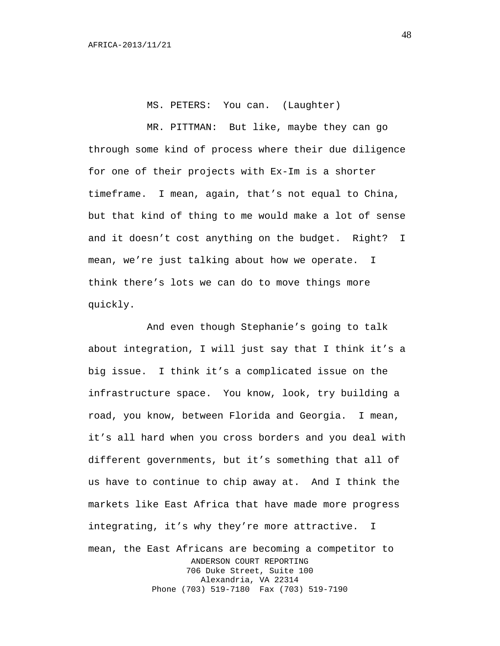MS. PETERS: You can. (Laughter)

MR. PITTMAN: But like, maybe they can go through some kind of process where their due diligence for one of their projects with Ex-Im is a shorter timeframe. I mean, again, that's not equal to China, but that kind of thing to me would make a lot of sense and it doesn't cost anything on the budget. Right? I mean, we're just talking about how we operate. I think there's lots we can do to move things more quickly.

And even though Stephanie's going to talk about integration, I will just say that I think it's a big issue. I think it's a complicated issue on the infrastructure space. You know, look, try building a road, you know, between Florida and Georgia. I mean, it's all hard when you cross borders and you deal with different governments, but it's something that all of us have to continue to chip away at. And I think the markets like East Africa that have made more progress integrating, it's why they're more attractive. I mean, the East Africans are becoming a competitor to ANDERSON COURT REPORTING 706 Duke Street, Suite 100 Alexandria, VA 22314 Phone (703) 519-7180 Fax (703) 519-7190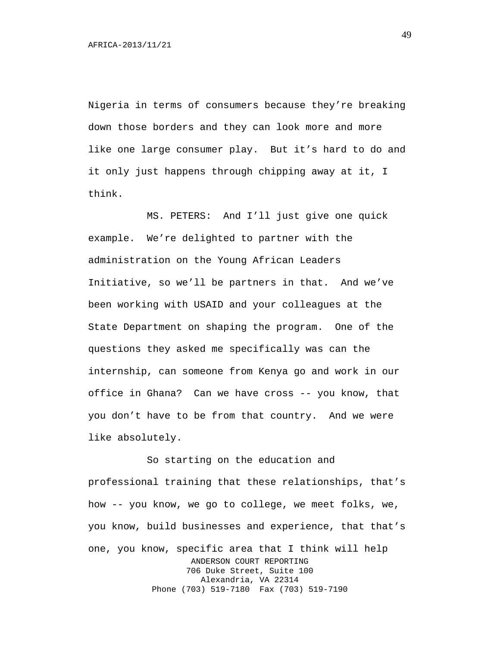Nigeria in terms of consumers because they're breaking down those borders and they can look more and more like one large consumer play. But it's hard to do and it only just happens through chipping away at it, I think.

MS. PETERS: And I'll just give one quick example. We're delighted to partner with the administration on the Young African Leaders Initiative, so we'll be partners in that. And we've been working with USAID and your colleagues at the State Department on shaping the program. One of the questions they asked me specifically was can the internship, can someone from Kenya go and work in our office in Ghana? Can we have cross -- you know, that you don't have to be from that country. And we were like absolutely.

So starting on the education and professional training that these relationships, that's how -- you know, we go to college, we meet folks, we, you know, build businesses and experience, that that's one, you know, specific area that I think will help ANDERSON COURT REPORTING 706 Duke Street, Suite 100 Alexandria, VA 22314 Phone (703) 519-7180 Fax (703) 519-7190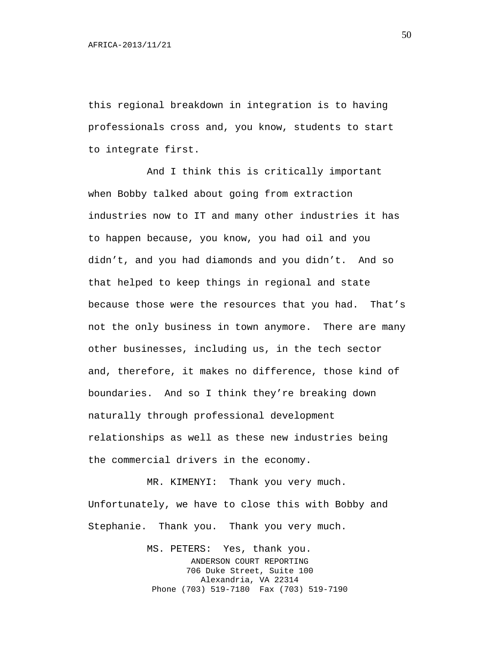this regional breakdown in integration is to having professionals cross and, you know, students to start to integrate first.

And I think this is critically important when Bobby talked about going from extraction industries now to IT and many other industries it has to happen because, you know, you had oil and you didn't, and you had diamonds and you didn't. And so that helped to keep things in regional and state because those were the resources that you had. That's not the only business in town anymore. There are many other businesses, including us, in the tech sector and, therefore, it makes no difference, those kind of boundaries. And so I think they're breaking down naturally through professional development relationships as well as these new industries being the commercial drivers in the economy.

MR. KIMENYI: Thank you very much. Unfortunately, we have to close this with Bobby and Stephanie. Thank you. Thank you very much.

> MS. PETERS: Yes, thank you. ANDERSON COURT REPORTING 706 Duke Street, Suite 100 Alexandria, VA 22314 Phone (703) 519-7180 Fax (703) 519-7190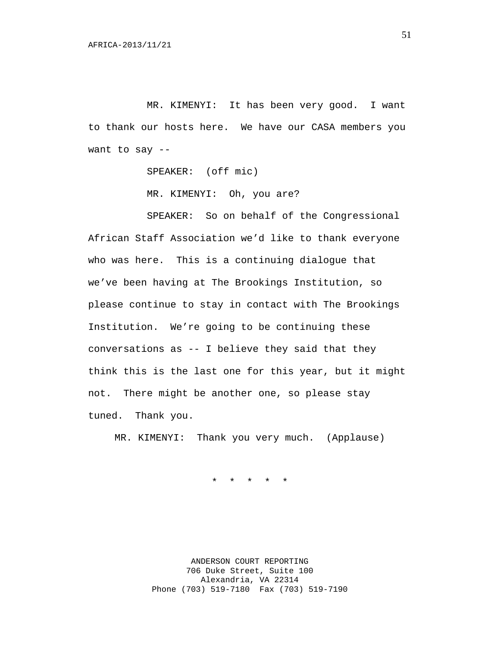MR. KIMENYI: It has been very good. I want to thank our hosts here. We have our CASA members you want to say --

SPEAKER: (off mic)

MR. KIMENYI: Oh, you are?

SPEAKER: So on behalf of the Congressional African Staff Association we'd like to thank everyone who was here. This is a continuing dialogue that we've been having at The Brookings Institution, so please continue to stay in contact with The Brookings Institution. We're going to be continuing these conversations as -- I believe they said that they think this is the last one for this year, but it might not. There might be another one, so please stay tuned. Thank you.

MR. KIMENYI: Thank you very much. (Applause)

\* \* \* \* \*

ANDERSON COURT REPORTING 706 Duke Street, Suite 100 Alexandria, VA 22314 Phone (703) 519-7180 Fax (703) 519-7190